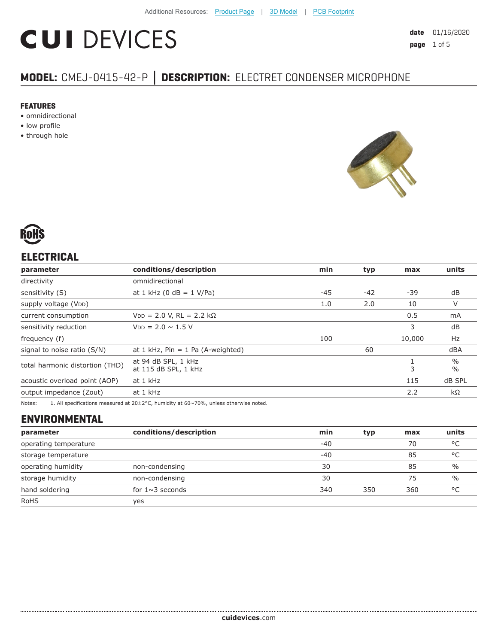# **CUI DEVICES**

# **MODEL:** CMEJ-0415-42-P **│ DESCRIPTION:** ELECTRET CONDENSER MICROPHONE

#### **FEATURES**

- omnidirectional
- low profile
- through hole





## **ELECTRICAL**

| parameter                       | conditions/description                      | min   | typ    | max    | units                          |
|---------------------------------|---------------------------------------------|-------|--------|--------|--------------------------------|
| directivity                     | omnidirectional                             |       |        |        |                                |
| sensitivity (S)                 | at 1 kHz (0 dB = $1$ V/Pa)                  | $-45$ | $-42$  | -39    | dB                             |
| supply voltage (VDD)            |                                             | 1.0   | 2.0    | 10     | V                              |
| current consumption             | $VDD = 2.0 V, RL = 2.2 k\Omega$             |       |        | 0.5    | mA                             |
| sensitivity reduction           | $V_{DD} = 2.0 \sim 1.5 V$                   |       |        | 3      | dB                             |
| frequency (f)                   | 100                                         |       | 10,000 | Hz     |                                |
| signal to noise ratio (S/N)     | at $1$ kHz, Pin = $1$ Pa (A-weighted)       |       | 60     |        | dBA                            |
| total harmonic distortion (THD) | at 94 dB SPL, 1 kHz<br>at 115 dB SPL, 1 kHz | 3     |        |        | $\frac{0}{0}$<br>$\frac{0}{0}$ |
| acoustic overload point (AOP)   | at 1 kHz                                    | 115   |        | dB SPL |                                |
| output impedance (Zout)         | at 1 kHz                                    |       |        | 2.2    | $k\Omega$                      |
|                                 |                                             |       |        |        |                                |

Notes: 1. All specifications measured at 20±2°C, humidity at 60~70%, unless otherwise noted.

# **ENVIRONMENTAL**

| parameter             | conditions/description | min   | typ | max | units         |
|-----------------------|------------------------|-------|-----|-----|---------------|
| operating temperature |                        | $-40$ |     | 70  | °C            |
| storage temperature   |                        | $-40$ |     | 85  | °C            |
| operating humidity    | non-condensing         | 30    |     | 85  | $\frac{0}{0}$ |
| storage humidity      | non-condensing         | 30    |     | 75  | $\frac{0}{0}$ |
| hand soldering        | for $1 \sim 3$ seconds | 340   | 350 | 360 | °C            |
| <b>RoHS</b>           | ves                    |       |     |     |               |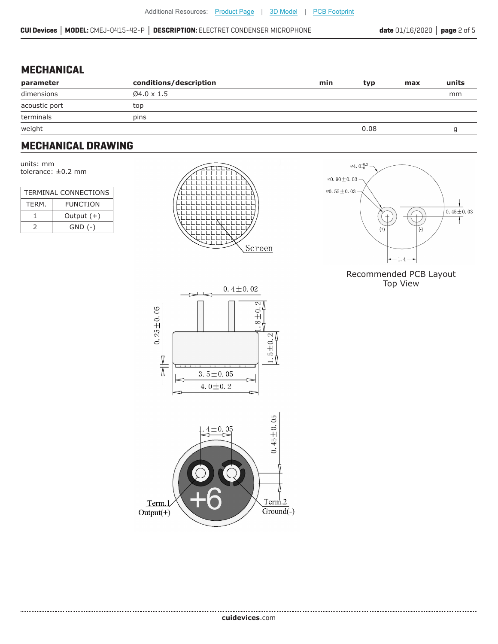#### **MECHANICAL**

| parameter     | conditions/description | min | typ  | max | units |
|---------------|------------------------|-----|------|-----|-------|
| dimensions    | $04.0 \times 1.5$      |     |      |     | mm    |
| acoustic port | top                    |     |      |     |       |
| terminals     | pins                   |     |      |     |       |
| weight        |                        |     | 0.08 |     |       |

## **MECHANICAL DRAWING**

units: mm tolerance: ±0.2 mm

| <b>TERMINAL CONNECTIONS</b> |                 |  |  |
|-----------------------------|-----------------|--|--|
| TFRM.                       | <b>FUNCTION</b> |  |  |
|                             | Output $(+)$    |  |  |
|                             | $GND$ $(-)$     |  |  |





#### Recommended PCB Layout Top View



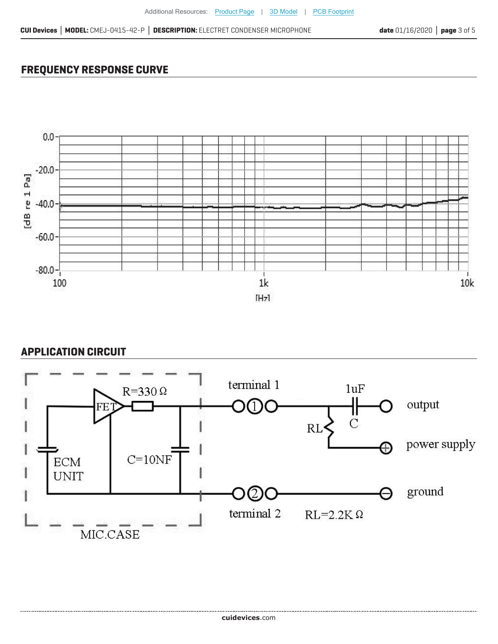### **FREQUENCY RESPONSE CURVE**



#### **APPLICATION CIRCUIT**

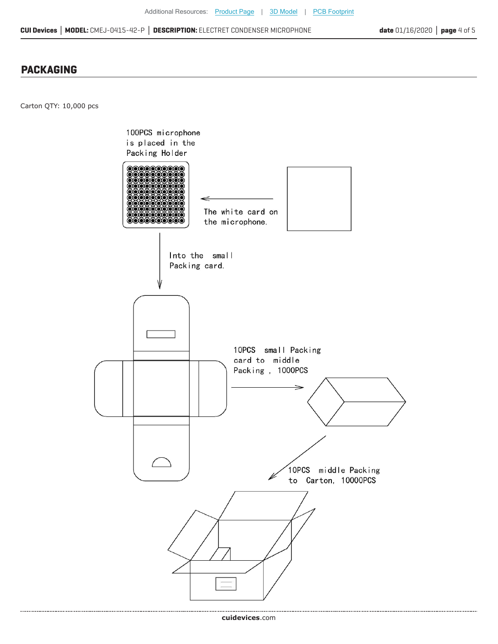**CUI Devices │ MODEL:** CMEJ-0415-42-P **│ DESCRIPTION:** ELECTRET CONDENSER MICROPHONE

#### **PACKAGING**

Carton QTY: 10,000 pcs